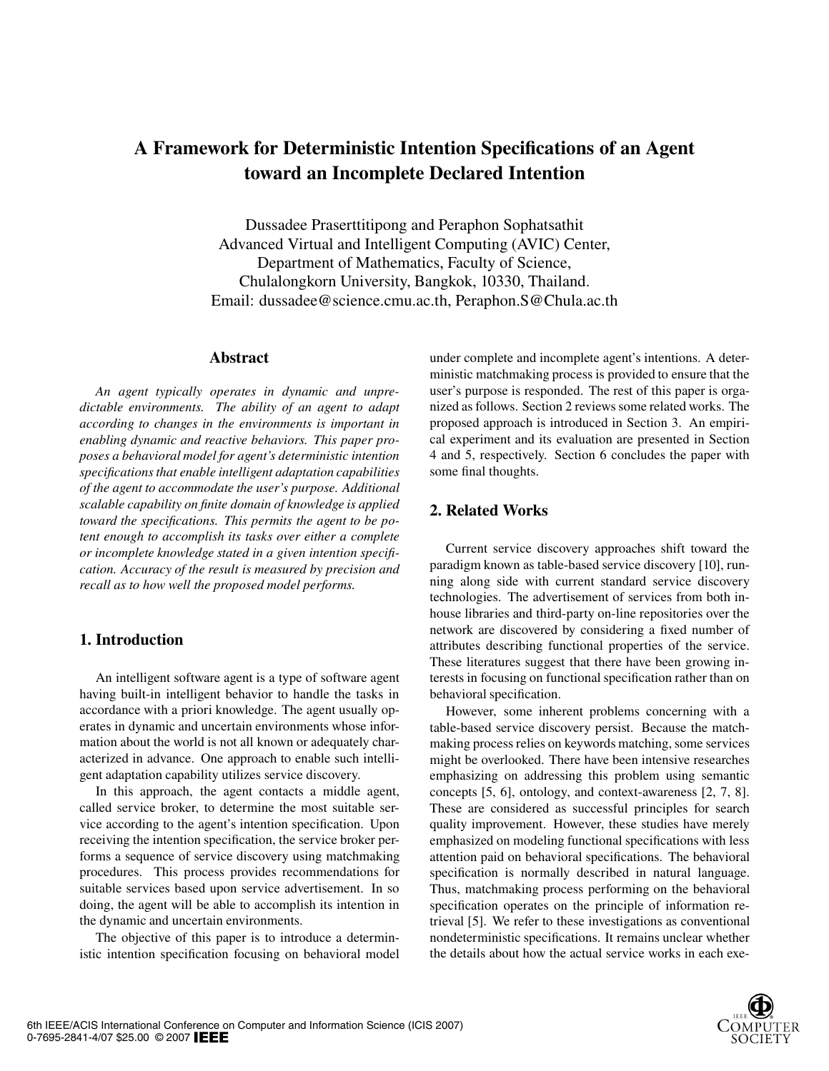# A Framework for Deterministic Intention Specifications of an Agent toward an Incomplete Declared Intention

Dussadee Praserttitipong and Peraphon Sophatsathit Advanced Virtual and Intelligent Computing (AVIC) Center, Department of Mathematics, Faculty of Science, Chulalongkorn University, Bangkok, 10330, Thailand. Email: dussadee@science.cmu.ac.th, Peraphon.S@Chula.ac.th

## Abstract

*An agent typically operates in dynamic and unpredictable environments. The ability of an agent to adapt according to changes in the environments is important in enabling dynamic and reactive behaviors. This paper proposes a behavioral model for agent's deterministic intention specifications that enable intelligent adaptation capabilities of the agent to accommodate the user's purpose. Additional scalable capability on finite domain of knowledge is applied toward the specifications. This permits the agent to be potent enough to accomplish its tasks over either a complete or incomplete knowledge stated in a given intention specification. Accuracy of the result is measured by precision and recall as to how well the proposed model performs.*

# 1. Introduction

An intelligent software agent is a type of software agent having built-in intelligent behavior to handle the tasks in accordance with a priori knowledge. The agent usually operates in dynamic and uncertain environments whose information about the world is not all known or adequately characterized in advance. One approach to enable such intelligent adaptation capability utilizes service discovery.

In this approach, the agent contacts a middle agent, called service broker, to determine the most suitable service according to the agent's intention specification. Upon receiving the intention specification, the service broker performs a sequence of service discovery using matchmaking procedures. This process provides recommendations for suitable services based upon service advertisement. In so doing, the agent will be able to accomplish its intention in the dynamic and uncertain environments.

The objective of this paper is to introduce a deterministic intention specification focusing on behavioral model

under complete and incomplete agent's intentions. A deterministic matchmaking process is provided to ensure that the user's purpose is responded. The rest of this paper is organized as follows. Section 2 reviews some related works. The proposed approach is introduced in Section 3. An empirical experiment and its evaluation are presented in Section 4 and 5, respectively. Section 6 concludes the paper with some final thoughts.

## 2. Related Works

Current service discovery approaches shift toward the paradigm known as table-based service discovery [10], running along side with current standard service discovery technologies. The advertisement of services from both inhouse libraries and third-party on-line repositories over the network are discovered by considering a fixed number of attributes describing functional properties of the service. These literatures suggest that there have been growing interests in focusing on functional specification rather than on behavioral specification.

However, some inherent problems concerning with a table-based service discovery persist. Because the matchmaking process relies on keywords matching, some services might be overlooked. There have been intensive researches emphasizing on addressing this problem using semantic concepts [5, 6], ontology, and context-awareness [2, 7, 8]. These are considered as successful principles for search quality improvement. However, these studies have merely emphasized on modeling functional specifications with less attention paid on behavioral specifications. The behavioral specification is normally described in natural language. Thus, matchmaking process performing on the behavioral specification operates on the principle of information retrieval [5]. We refer to these investigations as conventional nondeterministic specifications. It remains unclear whether the details about how the actual service works in each exe-

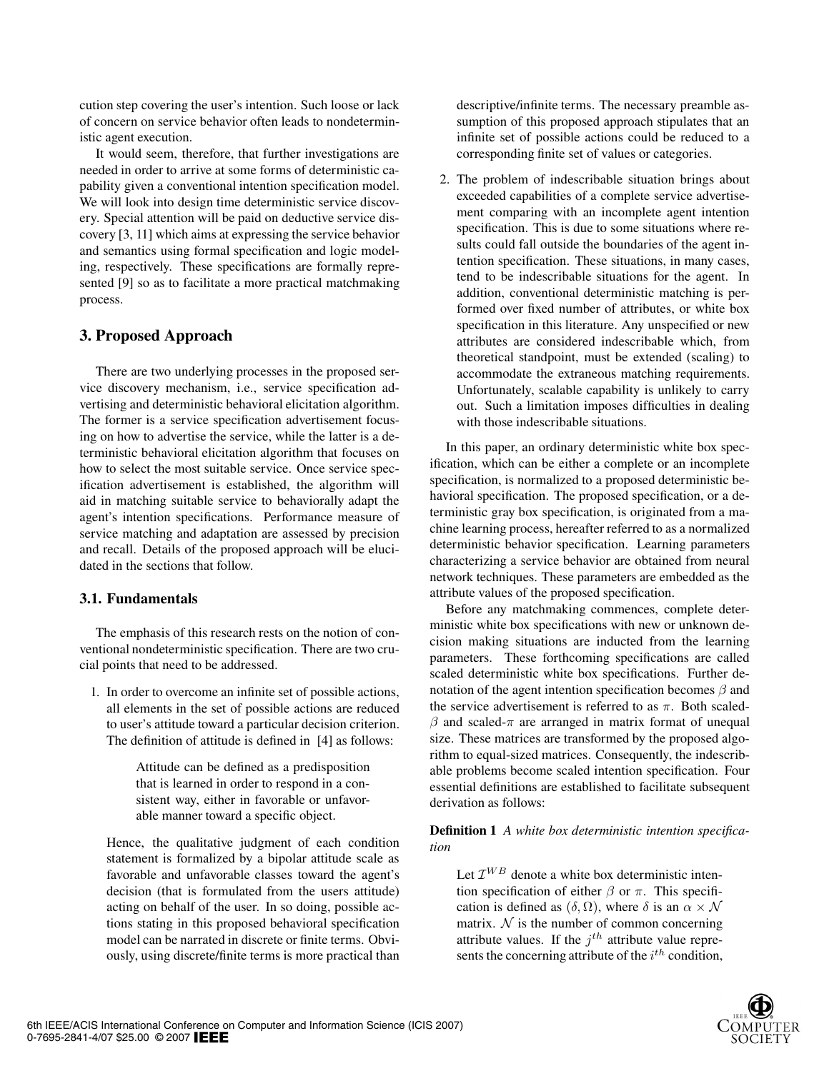cution step covering the user's intention. Such loose or lack of concern on service behavior often leads to nondeterministic agent execution.

It would seem, therefore, that further investigations are needed in order to arrive at some forms of deterministic capability given a conventional intention specification model. We will look into design time deterministic service discovery. Special attention will be paid on deductive service discovery [3, 11] which aims at expressing the service behavior and semantics using formal specification and logic modeling, respectively. These specifications are formally represented [9] so as to facilitate a more practical matchmaking process.

# 3. Proposed Approach

There are two underlying processes in the proposed service discovery mechanism, i.e., service specification advertising and deterministic behavioral elicitation algorithm. The former is a service specification advertisement focusing on how to advertise the service, while the latter is a deterministic behavioral elicitation algorithm that focuses on how to select the most suitable service. Once service specification advertisement is established, the algorithm will aid in matching suitable service to behaviorally adapt the agent's intention specifications. Performance measure of service matching and adaptation are assessed by precision and recall. Details of the proposed approach will be elucidated in the sections that follow.

# **3.1. Fundamentals**

The emphasis of this research rests on the notion of conventional nondeterministic specification. There are two crucial points that need to be addressed.

1. In order to overcome an infinite set of possible actions, all elements in the set of possible actions are reduced to user's attitude toward a particular decision criterion. The definition of attitude is defined in [4] as follows:

> Attitude can be defined as a predisposition that is learned in order to respond in a consistent way, either in favorable or unfavorable manner toward a specific object.

Hence, the qualitative judgment of each condition statement is formalized by a bipolar attitude scale as favorable and unfavorable classes toward the agent's decision (that is formulated from the users attitude) acting on behalf of the user. In so doing, possible actions stating in this proposed behavioral specification model can be narrated in discrete or finite terms. Obviously, using discrete/finite terms is more practical than descriptive/infinite terms. The necessary preamble assumption of this proposed approach stipulates that an infinite set of possible actions could be reduced to a corresponding finite set of values or categories.

2. The problem of indescribable situation brings about exceeded capabilities of a complete service advertisement comparing with an incomplete agent intention specification. This is due to some situations where results could fall outside the boundaries of the agent intention specification. These situations, in many cases, tend to be indescribable situations for the agent. In addition, conventional deterministic matching is performed over fixed number of attributes, or white box specification in this literature. Any unspecified or new attributes are considered indescribable which, from theoretical standpoint, must be extended (scaling) to accommodate the extraneous matching requirements. Unfortunately, scalable capability is unlikely to carry out. Such a limitation imposes difficulties in dealing with those indescribable situations.

In this paper, an ordinary deterministic white box specification, which can be either a complete or an incomplete specification, is normalized to a proposed deterministic behavioral specification. The proposed specification, or a deterministic gray box specification, is originated from a machine learning process, hereafter referred to as a normalized deterministic behavior specification. Learning parameters characterizing a service behavior are obtained from neural network techniques. These parameters are embedded as the attribute values of the proposed specification.

Before any matchmaking commences, complete deterministic white box specifications with new or unknown decision making situations are inducted from the learning parameters. These forthcoming specifications are called scaled deterministic white box specifications. Further denotation of the agent intention specification becomes  $\beta$  and the service advertisement is referred to as  $\pi$ . Both scaled- $\beta$  and scaled- $\pi$  are arranged in matrix format of unequal size. These matrices are transformed by the proposed algorithm to equal-sized matrices. Consequently, the indescribable problems become scaled intention specification. Four essential definitions are established to facilitate subsequent derivation as follows:

Definition 1 *A white box deterministic intention specification*

Let  $\mathcal{I}^{WB}$  denote a white box deterministic intention specification of either  $\beta$  or  $\pi$ . This specification is defined as  $(\delta, \Omega)$ , where  $\delta$  is an  $\alpha \times \mathcal{N}$ matrix.  $N$  is the number of common concerning attribute values. If the  $i^{th}$  attribute value represents the concerning attribute of the  $i^{th}$  condition,

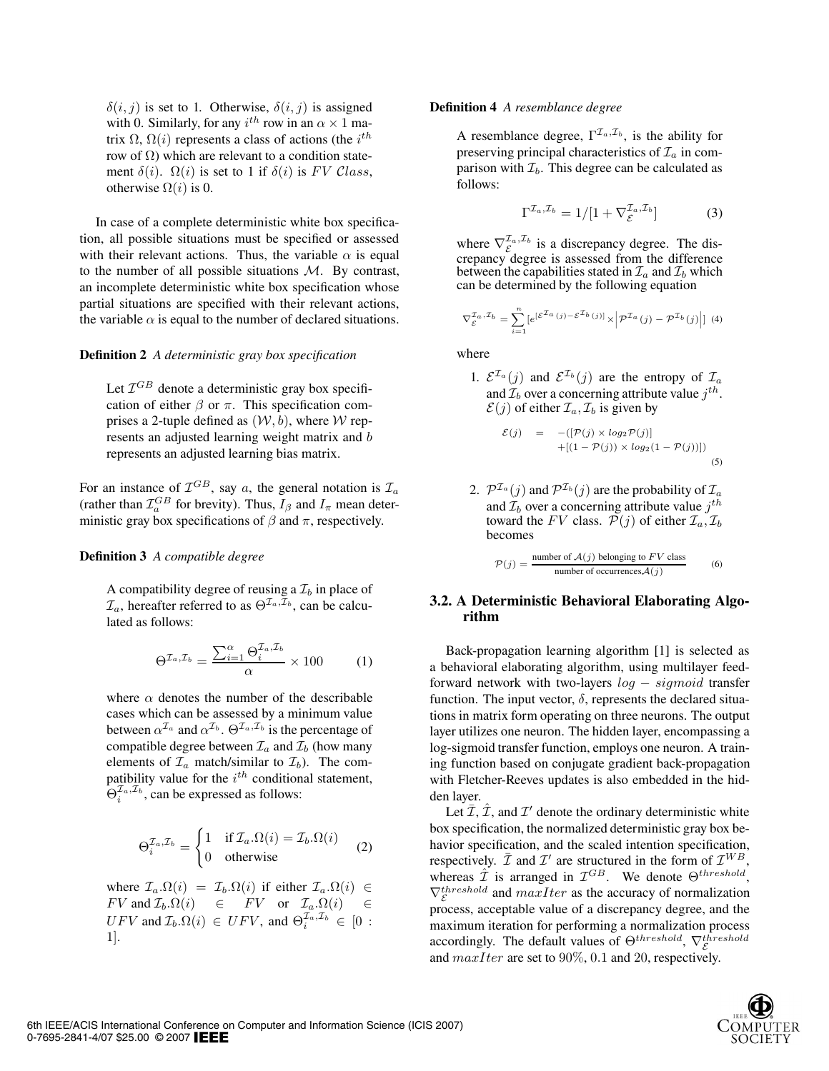$\delta(i, j)$  is set to 1. Otherwise,  $\delta(i, j)$  is assigned with 0. Similarly, for any  $i^{th}$  row in an  $\alpha \times 1$  matrix  $\Omega$ ,  $\Omega(i)$  represents a class of actions (the  $i^{th}$ row of  $\Omega$ ) which are relevant to a condition statement  $\delta(i)$ .  $\Omega(i)$  is set to 1 if  $\delta(i)$  is FV Class, otherwise  $\Omega(i)$  is 0.

In case of a complete deterministic white box specification, all possible situations must be specified or assessed with their relevant actions. Thus, the variable  $\alpha$  is equal to the number of all possible situations  $M$ . By contrast, an incomplete deterministic white box specification whose partial situations are specified with their relevant actions, the variable  $\alpha$  is equal to the number of declared situations.

#### Definition 2 *A deterministic gray box specification*

Let  $\mathcal{I}^{GB}$  denote a deterministic gray box specification of either  $\beta$  or  $\pi$ . This specification comprises a 2-tuple defined as  $(W, b)$ , where W represents an adjusted learning weight matrix and b represents an adjusted learning bias matrix.

For an instance of  $\mathcal{I}^{GB}$ , say a, the general notation is  $\mathcal{I}_a$ (rather than  $\mathcal{I}_{a}^{GB}$  for brevity). Thus,  $I_{\beta}$  and  $I_{\pi}$  mean deterministic gray box specifications of  $\beta$  and  $\pi$ , respectively.

#### Definition 3 *A compatible degree*

A compatibility degree of reusing a  $\mathcal{I}_b$  in place of  $\mathcal{I}_a$ , hereafter referred to as  $\Theta^{\mathcal{I}_a,\mathcal{I}_b}$ , can be calculated as follows:

$$
\Theta^{\mathcal{I}_a,\mathcal{I}_b} = \frac{\sum_{i=1}^{\alpha} \Theta_i^{\mathcal{I}_a,\mathcal{I}_b}}{\alpha} \times 100 \tag{1}
$$

where  $\alpha$  denotes the number of the describable cases which can be assessed by a minimum value between  $\alpha^{I_a}$  and  $\alpha^{I_b}$ .  $\Theta^{I_a, I_b}$  is the percentage of compatible degree between  $\mathcal{I}_a$  and  $\mathcal{I}_b$  (how many elements of  $\mathcal{I}_a$  match/similar to  $\mathcal{I}_b$ ). The compatibility value for the  $i^{th}$  conditional statement,  $\Theta_i^{\mathcal{I}_a, \mathcal{I}_b}$ , can be expressed as follows:

$$
\Theta_i^{\mathcal{I}_a, \mathcal{I}_b} = \begin{cases} 1 & \text{if } \mathcal{I}_a. \Omega(i) = \mathcal{I}_b. \Omega(i) \\ 0 & \text{otherwise} \end{cases} \tag{2}
$$

where  $\mathcal{I}_a.\Omega(i) = \mathcal{I}_b.\Omega(i)$  if either  $\mathcal{I}_a.\Omega(i) \in$  $FV$  and  $\mathcal{I}_b.\Omega(i) \quad \in \quad FV$  or  $\mathcal{I}_a.\Omega(i) \quad \in$  $UFV$  and  $\mathcal{I}_b.\Omega(i) \in UFV$ , and  $\Theta_i^{\mathcal{I}_a,\mathcal{I}_b} \in [0:$ 1].

#### Definition 4 *A resemblance degree*

A resemblance degree,  $\Gamma^{\mathcal{I}_a,\mathcal{I}_b}$ , is the ability for preserving principal characteristics of  $\mathcal{I}_a$  in comparison with  $\mathcal{I}_b$ . This degree can be calculated as follows:

$$
\Gamma^{\mathcal{I}_a,\mathcal{I}_b} = 1/[1 + \nabla_{\mathcal{E}}^{\mathcal{I}_a,\mathcal{I}_b}] \tag{3}
$$

where  $\nabla_{\mathcal{E}}^{\mathcal{I}_a,\mathcal{I}_b}$  is a discrepancy degree. The discrepancy degree is assessed from the difference between the capabilities stated in  $\mathcal{I}_a$  and  $\mathcal{I}_b$  which can be determined by the following equation

$$
\nabla_{\mathcal{E}}^{\mathcal{I}_a, \mathcal{I}_b} = \sum_{i=1}^n \left[ e^{[\mathcal{E}^{\mathcal{I}_a}(j) - \mathcal{E}^{\mathcal{I}_b}(j)]} \times \left| \mathcal{P}^{\mathcal{I}_a}(j) - \mathcal{P}^{\mathcal{I}_b}(j) \right| \right] (4)
$$

where

1.  $\mathcal{E}^{\mathcal{I}_a}(j)$  and  $\mathcal{E}^{\mathcal{I}_b}(j)$  are the entropy of  $\mathcal{I}_a$ and  $\mathcal{I}_b$  over a concerning attribute value  $j^{th}$ .  $\mathcal{E}(j)$  of either  $\mathcal{I}_a, \mathcal{I}_b$  is given by

$$
\mathcal{E}(j) = -([\mathcal{P}(j) \times log_2 \mathcal{P}(j)] +[(1 - \mathcal{P}(j)) \times log_2(1 - \mathcal{P}(j))])
$$
(5)

2. 
$$
\mathcal{P}^{\mathcal{I}_a}(j)
$$
 and  $\mathcal{P}^{\mathcal{I}_b}(j)$  are the probability of  $\mathcal{I}_a$   
and  $\mathcal{I}_b$  over a concerning attribute value  $j^{th}$   
toward the *FV* class.  $\mathcal{P}(j)$  of either  $\mathcal{I}_a, \mathcal{I}_b$   
becomes

$$
\mathcal{P}(j) = \frac{\text{number of } \mathcal{A}(j) \text{ belonging to } FV \text{ class}}{\text{number of occurrences } \mathcal{A}(j)}
$$
(6)

## **3.2. A Deterministic Behavioral Elaborating Algorithm**

Back-propagation learning algorithm [1] is selected as a behavioral elaborating algorithm, using multilayer feedforward network with two-layers log − sigmoid transfer function. The input vector,  $\delta$ , represents the declared situations in matrix form operating on three neurons. The output layer utilizes one neuron. The hidden layer, encompassing a log-sigmoid transfer function, employs one neuron. A training function based on conjugate gradient back-propagation with Fletcher-Reeves updates is also embedded in the hidden layer.

Let  $\overline{\mathcal{I}}$ ,  $\overline{\mathcal{I}}$ , and  $\mathcal{I}'$  denote the ordinary deterministic white box specification, the normalized deterministic gray box behavior specification, and the scaled intention specification, respectively.  $\bar{\mathcal{I}}$  and  $\mathcal{I}'$  are structured in the form of  $\mathcal{I}^{WB}$ , whereas  $\hat{\mathcal{I}}$  is arranged in  $\mathcal{I}^{GB}$ . We denote  $\Theta^{threshold}$ ,  $\nabla_{\mathcal{E}}^{threshold}$  and  $maxIter$  as the accuracy of normalization process, acceptable value of a discrepancy degree, and the maximum iteration for performing a normalization process accordingly. The default values of  $\Theta^{threshold}$ ,  $\nabla_{\mathcal{S}}^{threshold}$ and  $maxIter$  are set to 90%, 0.1 and 20, respectively.

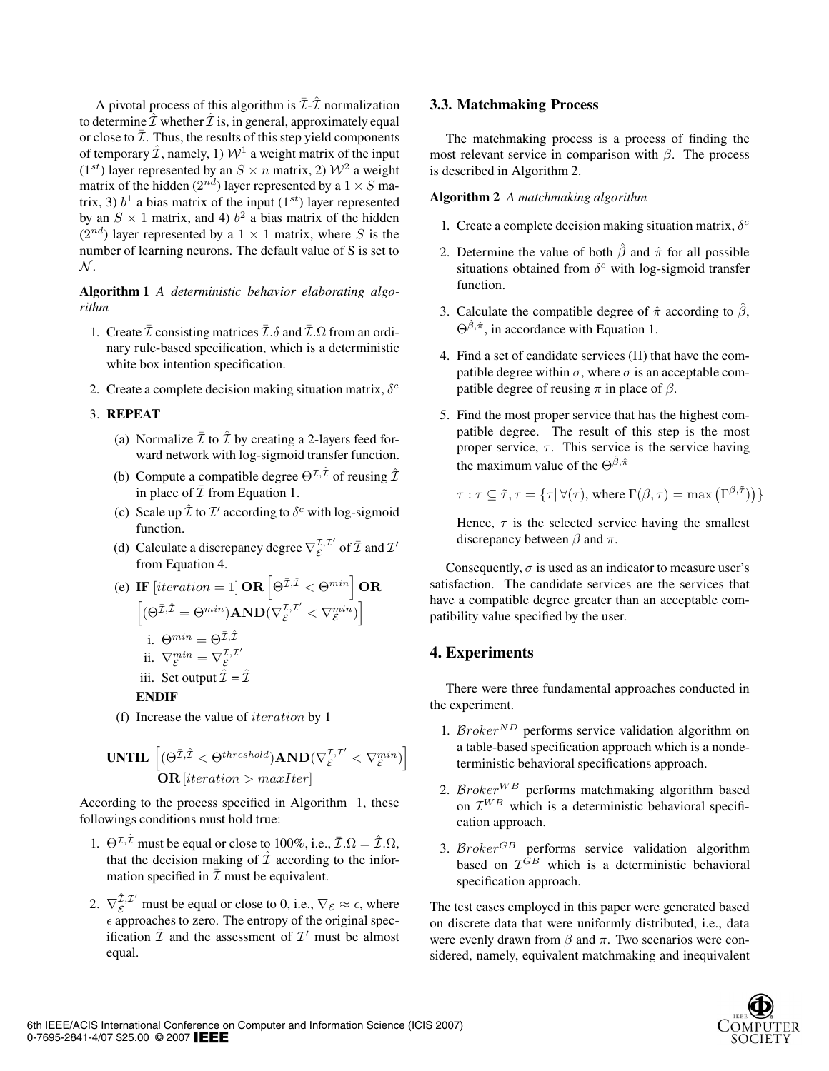A pivotal process of this algorithm is  $\bar{\mathcal{I}}$ - $\hat{\mathcal{I}}$  normalization to determine  $\hat{\mathcal{I}}$  whether  $\hat{\mathcal{I}}$  is, in general, approximately equal or close to  $\bar{\mathcal{I}}$ . Thus, the results of this step yield components of temporary  $\hat{\mathcal{I}}$ , namely, 1)  $\mathcal{W}^1$  a weight matrix of the input  $(1^{st})$  layer represented by an  $S \times n$  matrix, 2)  $\mathcal{W}^2$  a weight matrix of the hidden ( $2^{nd}$ ) layer represented by a  $1 \times S$  matrix, 3)  $b<sup>1</sup>$  a bias matrix of the input (1<sup>st</sup>) layer represented by an  $S \times 1$  matrix, and 4)  $b^2$  a bias matrix of the hidden  $(2^{nd})$  layer represented by a  $1 \times 1$  matrix, where S is the number of learning neurons. The default value of S is set to  $\mathcal{N}$ .

Algorithm 1 *A deterministic behavior elaborating algorithm*

- 1. Create  $\bar{\mathcal{I}}$  consisting matrices  $\bar{\mathcal{I}}.\delta$  and  $\bar{\mathcal{I}}.\Omega$  from an ordinary rule-based specification, which is a deterministic white box intention specification.
- 2. Create a complete decision making situation matrix,  $\delta^c$

#### 3. REPEAT

- (a) Normalize  $\bar{\mathcal{I}}$  to  $\hat{\mathcal{I}}$  by creating a 2-layers feed forward network with log-sigmoid transfer function.
- (b) Compute a compatible degree  $\Theta^{\bar{\mathcal{I}}, \hat{\mathcal{I}}}$  of reusing  $\hat{\mathcal{I}}$ in place of  $\bar{\mathcal{I}}$  from Equation 1.
- (c) Scale up  $\hat{\mathcal{I}}$  to  $\mathcal{I}'$  according to  $\delta^c$  with log-sigmoid function.
- (d) Calculate a discrepancy degree  $\nabla_{\mathcal{E}}^{\bar{\mathcal{I}},\mathcal{I}'}$  of  $\bar{\mathcal{I}}$  and  $\mathcal{I}'$ from Equation 4.

(e) IF [iteration = 1] OR 
$$
\left[\Theta^{\bar{\mathcal{I}}, \hat{\mathcal{I}}} < \Theta^{min}\right]
$$
 OR  $\left[\left(\Theta^{\bar{\mathcal{I}}, \hat{\mathcal{I}}} = \Theta^{min}\right)AND(\nabla^{\bar{\mathcal{I}}, \mathcal{I}'}_{\mathcal{E}} < \nabla^{min}_{\mathcal{E}})\right]$   
\ni.  $\Theta^{min} = \Theta^{\bar{\mathcal{I}}, \hat{\mathcal{I}}}$   
\nii.  $\nabla_{\mathcal{E}}^{min} = \nabla_{\mathcal{E}}^{\bar{\mathcal{I}}, \mathcal{I}'}$   
\niii. Set output  $\hat{\mathcal{I}} = \hat{\mathcal{I}}$   
\nENDIF

(f) Increase the value of iteration by 1

$$
\text{UNITL}\left[ (\Theta^{\bar{\mathcal{I}},\hat{\mathcal{I}}} < \Theta^{threshold}) \text{AND}(\nabla^{\bar{\mathcal{I}},\mathcal{I}'}_{\mathcal{E}} < \nabla^{\min}_{\mathcal{E}}) \right] \\ \text{OR}[iteration > \text{maxIter}]
$$

According to the process specified in Algorithm 1, these followings conditions must hold true:

- 1.  $\Theta^{\bar{\mathcal{I}}, \hat{\mathcal{I}}}$  must be equal or close to 100%, i.e.,  $\bar{\mathcal{I}}.\Omega = \hat{\mathcal{I}}.\Omega$ , that the decision making of  $\mathcal{\bar{I}}$  according to the information specified in  $\bar{\mathcal{I}}$  must be equivalent.
- 2.  $\nabla_{\mathcal{E}}^{\hat{\mathcal{I}},\mathcal{I}'}$  must be equal or close to 0, i.e.,  $\nabla_{\mathcal{E}} \approx \epsilon$ , where  $\epsilon$  approaches to zero. The entropy of the original specification  $\bar{\mathcal{I}}$  and the assessment of  $\mathcal{I}'$  must be almost equal.

#### **3.3. Matchmaking Process**

The matchmaking process is a process of finding the most relevant service in comparison with  $\beta$ . The process is described in Algorithm 2.

#### Algorithm 2 *A matchmaking algorithm*

- 1. Create a complete decision making situation matrix,  $\delta^c$
- 2. Determine the value of both  $\hat{\beta}$  and  $\hat{\pi}$  for all possible situations obtained from  $\delta^c$  with log-sigmoid transfer function.
- 3. Calculate the compatible degree of  $\hat{\pi}$  according to  $\hat{\beta}$ ,  $\Theta^{\hat{\beta},\hat{\pi}}$ , in accordance with Equation 1.
- 4. Find a set of candidate services (Π) that have the compatible degree within  $\sigma$ , where  $\sigma$  is an acceptable compatible degree of reusing  $\pi$  in place of  $\beta$ .
- 5. Find the most proper service that has the highest compatible degree. The result of this step is the most proper service,  $\tau$ . This service is the service having the maximum value of the  $\Theta^{\hat{\beta},\hat{\pi}}$

$$
\tau : \tau \subseteq \tilde{\tau}, \tau = \{ \tau | \forall(\tau), \text{ where } \Gamma(\beta, \tau) = \max(\Gamma^{\beta, \tilde{\tau}}) \}
$$

Hence,  $\tau$  is the selected service having the smallest discrepancy between  $\beta$  and  $\pi$ .

Consequently,  $\sigma$  is used as an indicator to measure user's satisfaction. The candidate services are the services that have a compatible degree greater than an acceptable compatibility value specified by the user.

## 4. Experiments

There were three fundamental approaches conducted in the experiment.

- 1. Broker<sup>ND</sup> performs service validation algorithm on a table-based specification approach which is a nondeterministic behavioral specifications approach.
- 2.  $\mathcal{B}roker^{WB}$  performs matchmaking algorithm based on  $\mathcal{I}^{WB}$  which is a deterministic behavioral specification approach.
- 3.  $\mathcal{B} \mathit{roker}^{\mathit{GB}}$  performs service validation algorithm based on  $\mathcal{I}^{GB}$  which is a deterministic behavioral specification approach.

The test cases employed in this paper were generated based on discrete data that were uniformly distributed, i.e., data were evenly drawn from  $\beta$  and  $\pi$ . Two scenarios were considered, namely, equivalent matchmaking and inequivalent

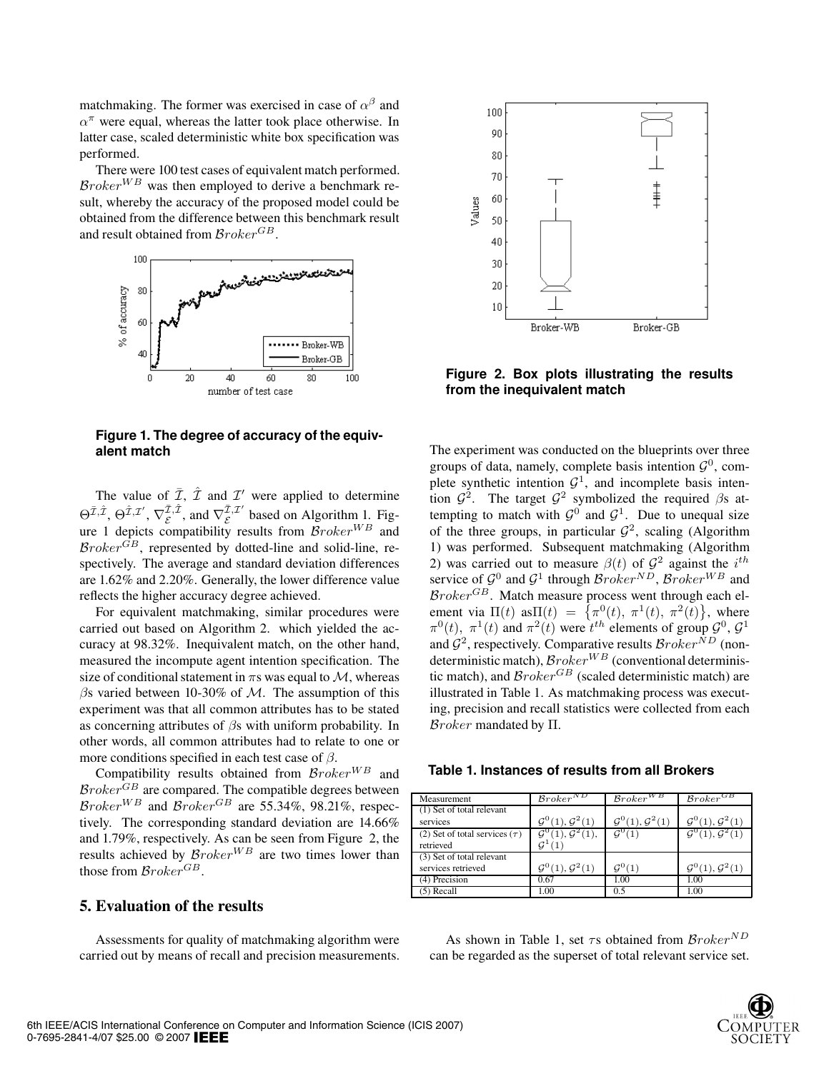matchmaking. The former was exercised in case of  $\alpha^{\beta}$  and  $\alpha^{\pi}$  were equal, whereas the latter took place otherwise. In latter case, scaled deterministic white box specification was performed.

There were 100 test cases of equivalent match performed.  $\mathcal{B}roker^{WB}$  was then employed to derive a benchmark result, whereby the accuracy of the proposed model could be obtained from the difference between this benchmark result and result obtained from  $\mathcal{B}roker^{GB}$ .



**Figure 1. The degree of accuracy of the equivalent match**

The value of  $\overline{I}$ ,  $\hat{I}$  and  $I'$  were applied to determine  $\Theta^{\bar{\mathcal{I}}, \bar{\mathcal{I}}}, \Theta^{\hat{\mathcal{I}}, \mathcal{I}'}, \nabla_{\mathcal{E}}^{\bar{\mathcal{I}}, \hat{\mathcal{I}}},$  and  $\nabla_{\mathcal{E}}^{\bar{\mathcal{I}}, \mathcal{I}'}$  based on Algorithm 1. Fig-<br>ure 1 depicts compatibility results from  $\mathcal{B}roker^{WB}$  and  $\mathcal{B}roker^{\mathbb{G}B}$ , represented by dotted-line and solid-line, respectively. The average and standard deviation differences are 1.62% and 2.20%. Generally, the lower difference value reflects the higher accuracy degree achieved.

For equivalent matchmaking, similar procedures were carried out based on Algorithm 2. which yielded the accuracy at 98.32%. Inequivalent match, on the other hand, measured the incompute agent intention specification. The size of conditional statement in  $\pi s$  was equal to  $\mathcal{M}$ , whereas  $\beta$ s varied between 10-30% of M. The assumption of this experiment was that all common attributes has to be stated as concerning attributes of  $\beta$ s with uniform probability. In other words, all common attributes had to relate to one or more conditions specified in each test case of  $\beta$ .

Compatibility results obtained from  $\mathcal{B}roker^{WB}$  and  $\mathcal{B}roker^{GB}$  are compared. The compatible degrees between  $Broke<sup>WB</sup>$  and  $Broke<sup>GB</sup>$  are 55.34%, 98.21%, respectively. The corresponding standard deviation are 14.66% and 1.79%, respectively. As can be seen from Figure 2, the results achieved by  $\mathcal{B}roker^{WB}$  are two times lower than those from  $\mathcal{B}roker^{GB}$ .

## 5. Evaluation of the results

Assessments for quality of matchmaking algorithm were carried out by means of recall and precision measurements.



**Figure 2. Box plots illustrating the results from the inequivalent match**

The experiment was conducted on the blueprints over three groups of data, namely, complete basis intention  $\mathcal{G}^0$ , complete synthetic intention  $G<sup>1</sup>$ , and incomplete basis intention  $\mathcal{G}^2$ . The target  $\mathcal{G}^2$  symbolized the required  $\beta$ s attempting to match with  $G^0$  and  $G^1$ . Due to unequal size of the three groups, in particular  $\mathcal{G}^2$ , scaling (Algorithm 1) was performed. Subsequent matchmaking (Algorithm 2) was carried out to measure  $\beta(t)$  of  $\mathcal{G}^2$  against the  $i^{th}$ service of  $\mathcal{G}^0$  and  $\mathcal{G}^1$  through  $\mathcal{B}roker^{ND}$ ,  $\mathcal{B}roker^{WB}$  and  $\mathcal{B}roker^{GB}$ . Match measure process went through each element via  $\Pi(t)$  as $\Pi(t) = {\pi^0(t), \pi^1(t), \pi^2(t)}$ , where  $\pi^{0}(t)$ ,  $\pi^{1}(t)$  and  $\pi^{2}(t)$  were  $t^{th}$  elements of group  $\mathcal{G}^{0}$ ,  $\mathcal{G}^{1}$ and  $G^2$ , respectively. Comparative results  $\mathcal{B}roker^{ND}$  (nondeterministic match),  $\mathcal{B}roker^{WB}$  (conventional deterministic match), and  $\mathcal{B}roker^{GB}$  (scaled deterministic match) are illustrated in Table 1. As matchmaking process was executing, precision and recall statistics were collected from each Broker mandated by Π.

| Table 1. Instances of results from all Brokers |  |  |
|------------------------------------------------|--|--|
|------------------------------------------------|--|--|

| Measurement                                       | $\mathcal{B}roker^{\mathcal{N} \mathcal{L}}$ | $\mathcal{B}roker^{WB}$                  | $\mathcal{B}roker^{GB}$                  |
|---------------------------------------------------|----------------------------------------------|------------------------------------------|------------------------------------------|
| (1) Set of total relevant<br>services             | $\mathcal{G}^{0}(1), \mathcal{G}^{2}(1)$     | $\mathcal{G}^{0}(1), \mathcal{G}^{2}(1)$ | $\mathcal{G}^{0}(1), \mathcal{G}^{2}(1)$ |
| (2) Set of total services ( $\tau$ )<br>retrieved | $\mathcal{G}^{0}(1), \mathcal{G}^{2}(1),$    | $\mathcal{G}^{0}(1)$                     | $\mathcal{G}^{0}(1), \mathcal{G}^{2}(1)$ |
| (3) Set of total relevant<br>services retrieved   | $\mathcal{G}^{0}(1), \mathcal{G}^{2}(1)$     | $G^0(1)$                                 | $G^{0}(1), G^{2}(1)$                     |
| (4) Precision                                     | 0.67                                         | 1.00                                     | 1.00                                     |
| $(5)$ Recall                                      | 1.00                                         | 0.5                                      | 1.00                                     |

As shown in Table 1, set  $\tau s$  obtained from  $\mathcal{B}roker^{ND}$ can be regarded as the superset of total relevant service set.